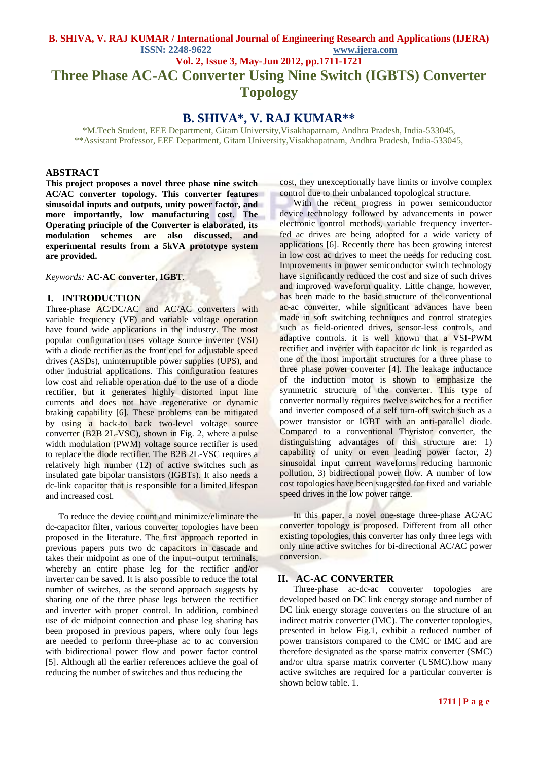# **B. SHIVA, V. RAJ KUMAR / International Journal of Engineering Research and Applications (IJERA) ISSN: 2248-9622 www.ijera.com Vol. 2, Issue 3, May-Jun 2012, pp.1711-1721 Three Phase AC-AC Converter Using Nine Switch (IGBTS) Converter Topology**

# **B. SHIVA\*, V. RAJ KUMAR\*\***

\*M.Tech Student, EEE Department, Gitam University,Visakhapatnam, Andhra Pradesh, India-533045, \*\*Assistant Professor, EEE Department, Gitam University,Visakhapatnam, Andhra Pradesh, India-533045,

### **ABSTRACT**

**This project proposes a novel three phase nine switch AC/AC converter topology. This converter features sinusoidal inputs and outputs, unity power factor, and more importantly, low manufacturing cost. The Operating principle of the Converter is elaborated, its modulation schemes are also discussed, and experimental results from a 5kVA prototype system are provided.**

*Keywords:* **AC-AC converter, IGBT**.

#### **I. INTRODUCTION**

Three-phase AC/DC/AC and AC/AC converters with variable frequency (VF) and variable voltage operation have found wide applications in the industry. The most popular configuration uses voltage source inverter (VSI) with a diode rectifier as the front end for adjustable speed drives (ASDs), uninterruptible power supplies (UPS), and other industrial applications. This configuration features low cost and reliable operation due to the use of a diode rectifier, but it generates highly distorted input line currents and does not have regenerative or dynamic braking capability [6]. These problems can be mitigated by using a back-to back two-level voltage source converter (B2B 2L-VSC), shown in Fig. 2, where a pulse width modulation (PWM) voltage source rectifier is used to replace the diode rectifier. The B2B 2L-VSC requires a relatively high number (12) of active switches such as insulated gate bipolar transistors (IGBTs). It also needs a dc-link capacitor that is responsible for a limited lifespan and increased cost.

To reduce the device count and minimize/eliminate the dc-capacitor filter, various converter topologies have been proposed in the literature. The first approach reported in previous papers puts two dc capacitors in cascade and takes their midpoint as one of the input–output terminals, whereby an entire phase leg for the rectifier and/or inverter can be saved. It is also possible to reduce the total number of switches, as the second approach suggests by sharing one of the three phase legs between the rectifier and inverter with proper control. In addition, combined use of dc midpoint connection and phase leg sharing has been proposed in previous papers, where only four legs are needed to perform three-phase ac to ac conversion with bidirectional power flow and power factor control [5]. Although all the earlier references achieve the goal of reducing the number of switches and thus reducing the

cost, they unexceptionally have limits or involve complex control due to their unbalanced topological structure.

With the recent progress in power semiconductor device technology followed by advancements in power electronic control methods, variable frequency inverterfed ac drives are being adopted for a wide variety of applications [6]. Recently there has been growing interest in low cost ac drives to meet the needs for reducing cost. Improvements in power semiconductor switch technology have significantly reduced the cost and size of such drives and improved waveform quality. Little change, however, has been made to the basic structure of the conventional ac-ac converter, while significant advances have been made in soft switching techniques and control strategies such as field-oriented drives, sensor-less controls, and adaptive controls. it is well known that a VSI-PWM rectifier and inverter with capacitor dc link is regarded as one of the most important structures for a three phase to three phase power converter [4]. The leakage inductance of the induction motor is shown to emphasize the symmetric structure of the converter. This type of converter normally requires twelve switches for a rectifier and inverter composed of a self turn-off switch such as a power transistor or IGBT with an anti-parallel diode. Compared to a conventional Thyristor converter, the distinguishing advantages of this structure are: 1) capability of unity or even leading power factor, 2) sinusoidal input current waveforms reducing harmonic pollution, 3) bidirectional power flow. A number of low cost topologies have been suggested for fixed and variable speed drives in the low power range.

In this paper, a novel one-stage three-phase AC/AC converter topology is proposed. Different from all other existing topologies, this converter has only three legs with only nine active switches for bi-directional AC/AC power conversion.

### **II. AC-AC CONVERTER**

Three-phase ac-dc-ac converter topologies are developed based on DC link energy storage and number of DC link energy storage converters on the structure of an indirect matrix converter (IMC). The converter topologies, presented in below Fig.1, exhibit a reduced number of power transistors compared to the CMC or IMC and are therefore designated as the sparse matrix converter (SMC) and/or ultra sparse matrix converter (USMC).how many active switches are required for a particular converter is shown below table. 1.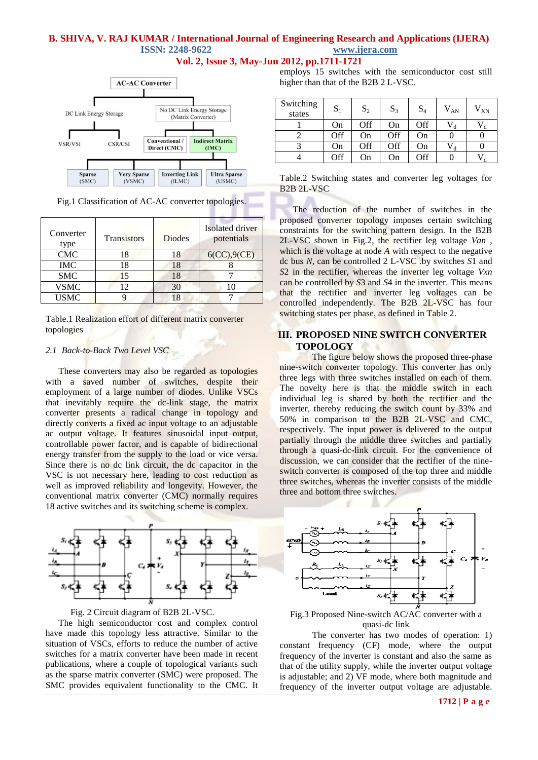### **B. SHIVA, V. RAJ KUMAR / International Journal of Engineering Research and Applications (IJERA) ISSN: 2248-9622 www.ijera.com Vol. 2, Issue 3, May-Jun 2012, pp.1711-1721**



Fig.1 Classification of AC-AC converter topologies.

| Converter<br>type | <b>Transistors</b> | Diodes | Isolated driver<br>potentials |
|-------------------|--------------------|--------|-------------------------------|
| <b>CMC</b>        | 18                 | 18     | 6(CC), 9(CE)                  |
| <b>IMC</b>        | 18                 | 18     |                               |
| <b>SMC</b>        | 15                 | 18     |                               |
| <b>VSMC</b>       | 12                 | 30     | 10                            |
| <b>USMC</b>       |                    | 18     |                               |

Table.1 Realization effort of different matrix converter topologies

#### *2.1 Back-to-Back Two Level VSC*

These converters may also be regarded as topologies with a saved number of switches, despite their employment of a large number of diodes. Unlike VSCs that inevitably require the dc-link stage, the matrix converter presents a radical change in topology and directly converts a fixed ac input voltage to an adjustable ac output voltage. It features sinusoidal input–output, controllable power factor, and is capable of bidirectional energy transfer from the supply to the load or vice versa. Since there is no dc link circuit, the dc capacitor in the VSC is not necessary here, leading to cost reduction as well as improved reliability and longevity. However, the conventional matrix converter (CMC) normally requires 18 active switches and its switching scheme is complex.





The high semiconductor cost and complex control have made this topology less attractive. Similar to the situation of VSCs, efforts to reduce the number of active switches for a matrix converter have been made in recent publications, where a couple of topological variants such as the sparse matrix converter (SMC) were proposed. The SMC provides equivalent functionality to the CMC. It

employs 15 switches with the semiconductor cost still higher than that of the B2B 2 L-VSC.

| Switching<br>states | $S_1$ | $S_2$ | $S_3$ | $S_4$ | $V_{AN}$ | $V_{XN}$ |
|---------------------|-------|-------|-------|-------|----------|----------|
|                     | On    | Off   | On    | Off   | đ        |          |
|                     | Off   | On    | Off   | On    |          |          |
|                     | On    | Off   | Off   | On    | V,       |          |
|                     | Off   | On    | On    | Off   |          |          |

|                                                  | Table.2 Switching states and converter leg voltages for |  |  |  |
|--------------------------------------------------|---------------------------------------------------------|--|--|--|
| B <sub>2</sub> B <sub>2</sub> L-V <sub>S</sub> C |                                                         |  |  |  |

The reduction of the number of switches in the proposed converter topology imposes certain switching constraints for the switching pattern design. In the B2B 2L-VSC shown in Fig.2, the rectifier leg voltage *Van* , which is the voltage at node *A* with respect to the negative dc bus *N*, can be controlled 2 L-VSC .by switches *S*1 and *S*2 in the rectifier, whereas the inverter leg voltage *Vxn*  can be controlled by *S*3 and *S*4 in the inverter. This means that the rectifier and inverter leg voltages can be controlled independently. The B2B 2L-VSC has four switching states per phase, as defined in Table 2.

### **III. PROPOSED NINE SWITCH CONVERTER TOPOLOGY**

The figure below shows the proposed three-phase nine-switch converter topology. This converter has only three legs with three switches installed on each of them. The novelty here is that the middle switch in each individual leg is shared by both the rectifier and the inverter, thereby reducing the switch count by 33% and 50% in comparison to the B2B 2L-VSC and CMC, respectively. The input power is delivered to the output partially through the middle three switches and partially through a quasi-dc-link circuit. For the convenience of discussion, we can consider that the rectifier of the nineswitch converter is composed of the top three and middle three switches, whereas the inverter consists of the middle three and bottom three switches.



Fig.3 Proposed Nine-switch AC/AC converter with a quasi-dc link

The converter has two modes of operation: 1) constant frequency (CF) mode, where the output frequency of the inverter is constant and also the same as that of the utility supply, while the inverter output voltage is adjustable; and 2) VF mode, where both magnitude and frequency of the inverter output voltage are adjustable.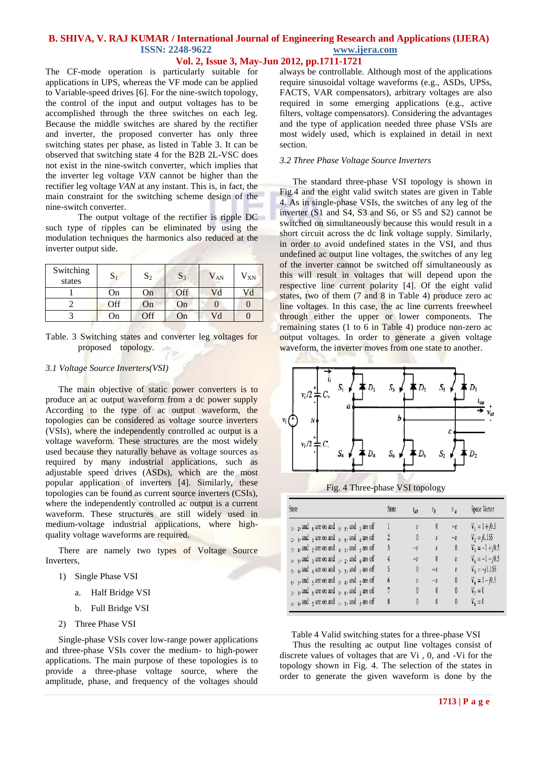#### **Vol. 2, Issue 3, May-Jun 2012, pp.1711-1721**

The CF-mode operation is particularly suitable for applications in UPS, whereas the VF mode can be applied to Variable-speed drives [6]. For the nine-switch topology, the control of the input and output voltages has to be accomplished through the three switches on each leg. Because the middle switches are shared by the rectifier and inverter, the proposed converter has only three switching states per phase, as listed in Table 3. It can be observed that switching state 4 for the B2B 2L-VSC does not exist in the nine-switch converter, which implies that the inverter leg voltage *VXN* cannot be higher than the rectifier leg voltage *VAN* at any instant. This is, in fact, the main constraint for the switching scheme design of the nine-switch converter.

The output voltage of the rectifier is ripple DC such type of ripples can be eliminated by using the modulation techniques the harmonics also reduced at the inverter output side.

| Switching<br>states | ו ט | $S_2$ | $S_3$ | $V_{AN}$ | $V_{XN}$ |
|---------------------|-----|-------|-------|----------|----------|
|                     | On  | On    | Off   | Vd       | Vd       |
|                     | Off | On    | On    |          |          |
|                     | Эn  | Off   | On    | Vd       |          |

Table. 3 Switching states and converter leg voltages for proposed topology.

#### *3.1 Voltage Source Inverters(VSI)*

The main objective of static power converters is to produce an ac output waveform from a dc power supply According to the type of ac output waveform, the topologies can be considered as voltage source inverters (VSIs), where the independently controlled ac output is a voltage waveform. These structures are the most widely used because they naturally behave as voltage sources as required by many industrial applications, such as adjustable speed drives (ASDs), which are the most popular application of inverters [4]. Similarly, these topologies can be found as current source inverters (CSIs), where the independently controlled ac output is a current waveform. These structures are still widely used in medium-voltage industrial applications, where highquality voltage waveforms are required.

There are namely two types of Voltage Source Inverters,

- 1) Single Phase VSI
	- a. Half Bridge VSI
	- b. Full Bridge VSI
- 2) Three Phase VSI

Single-phase VSIs cover low-range power applications and three-phase VSIs cover the medium- to high-power applications. The main purpose of these topologies is to provide a three-phase voltage source, where the amplitude, phase, and frequency of the voltages should always be controllable. Although most of the applications require sinusoidal voltage waveforms (e.g., ASDs, UPSs, FACTS, VAR compensators), arbitrary voltages are also required in some emerging applications (e.g., active filters, voltage compensators). Considering the advantages and the type of application needed three phase VSIs are most widely used, which is explained in detail in next section.

#### *3.2 Three Phase Voltage Source Inverters*

The standard three-phase VSI topology is shown in Fig.4 and the eight valid switch states are given in Table 4. As in single-phase VSIs, the switches of any leg of the inverter (S1 and S4, S3 and S6, or S5 and S2) cannot be switched on simultaneously because this would result in a short circuit across the dc link voltage supply. Similarly, in order to avoid undefined states in the VSI, and thus undefined ac output line voltages, the switches of any leg of the inverter cannot be switched off simultaneously as this will result in voltages that will depend upon the respective line current polarity [4]. Of the eight valid states, two of them (7 and 8 in Table 4) produce zero ac line voltages. In this case, the ac line currents freewheel through either the upper or lower components. The remaining states (1 to 6 in Table 4) produce non-zero ac output voltages. In order to generate a given voltage waveform, the inverter moves from one state to another.



Fig. 4 Three-phase VSI topology

| State                                                                        | State | $t_{ab}$          | $v_b$        | $v_{\alpha}$ | Space Vector      |
|------------------------------------------------------------------------------|-------|-------------------|--------------|--------------|-------------------|
| $_1$ , $_2$ , and $_6$ are on and $_4$ , $_5$ , and $_3$ are off             |       | v                 | O            | $-v$         | $V_1 = 1 + 0.5$   |
| $_2$ , $_3$ , and $_1$ are on and $_5$ , $_6$ , and $_4$ are off             | 2     | 0                 | $\mathbf{v}$ | $-v$         | $V_2 = j1.155$    |
| $_3$ , $_4$ , and $_2$ are on and $_6$ , $_1$ , and $_5$ are off             | 3     | $-\boldsymbol{v}$ | $\mathbf{v}$ | 0            | $V_3 = -1 + j0.5$ |
| $_4$ , $_5$ , and $_3$ are on and $_1$ , $_2$ , and $_6$ are off             | 4     | $=$ Ü             | 0            | v            | $V_4 = -1 - j0.5$ |
| $_5$ , $_6$ , and $_4$ are on and $_2$ , $_3$ , and $_1$ are off             | 5     | 0                 | $-i$         | v            | $V_5 = -j1.155$   |
| $_{6}$ , $_{1}$ , and $_{5}$ are on and $_{3}$ , $_{4}$ , and $_{2}$ are off | 6     | v                 | $_{-1}$      | 0            | $V_t = 1 - 0.5$   |
| $_1$ , $_3$ , and $_5$ are on and $_4$ , $_6$ , and $_2$ are off             | 7     | 0                 | 0            | 0            | $V_2=0$           |
| $_4$ , $_6$ , and $_2$ are on and $_1$ , $_3$ , and $_5$ are off             | 8     | Ō                 | 0            | 0            | $V_{\rm g}=0$     |

Table 4 Valid switching states for a three-phase VSI

Thus the resulting ac output line voltages consist of discrete values of voltages that are Vi , 0, and -Vi for the topology shown in Fig. 4. The selection of the states in order to generate the given waveform is done by the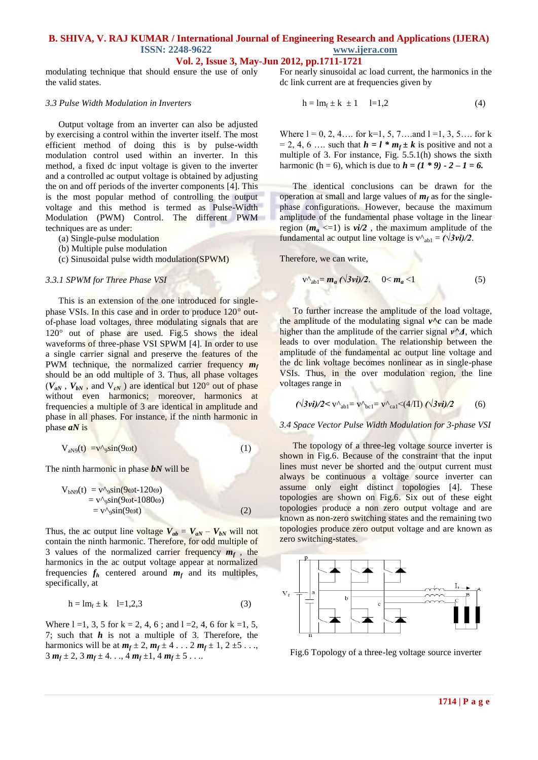### **Vol. 2, Issue 3, May-Jun 2012, pp.1711-1721**

modulating technique that should ensure the use of only the valid states.

#### *3.3 Pulse Width Modulation in Inverters*

Output voltage from an inverter can also be adjusted by exercising a control within the inverter itself. The most efficient method of doing this is by pulse-width modulation control used within an inverter. In this method, a fixed dc input voltage is given to the inverter and a controlled ac output voltage is obtained by adjusting the on and off periods of the inverter components [4]. This is the most popular method of controlling the output voltage and this method is termed as Pulse-Width Modulation (PWM) Control. The different PWM techniques are as under:

- (a) Single-pulse modulation
- (b) Multiple pulse modulation
- (c) Sinusoidal pulse width modulation(SPWM)

#### *3.3.1 SPWM for Three Phase VSI*

This is an extension of the one introduced for singlephase VSIs. In this case and in order to produce 120<sup>°</sup> outof-phase load voltages, three modulating signals that are  $120^{\circ}$  out of phase are used. Fig.5 shows the ideal waveforms of three-phase VSI SPWM [4]. In order to use a single carrier signal and preserve the features of the PWM technique, the normalized carrier frequency *m<sup>f</sup>* should be an odd multiple of 3. Thus, all phase voltages  $(V_{aN}$ ,  $V_{bN}$ , and  $V_{cN}$ ) are identical but 120<sup>°</sup> out of phase without even harmonics; moreover, harmonics at frequencies a multiple of 3 are identical in amplitude and phase in all phases. For instance, if the ninth harmonic in phase *aN* is

$$
V_{aN9}(t) = v^{\prime\prime} \sin(9\omega t) \tag{1}
$$

The ninth harmonic in phase *bN* will be

$$
V_{bN9}(t) = v^A{}_{9}sin(9\omega t - 120\omega)
$$
  
= v^A{}\_{9}sin(9\omega t - 1080\omega)  
= v^A{}\_{9}sin(9\omega t) (2)

Thus, the ac output line voltage  $V_{ab} = V_{aN} - V_{bN}$  will not contain the ninth harmonic. Therefore, for odd multiple of 3 values of the normalized carrier frequency  $m_f$ , the harmonics in the ac output voltage appear at normalized frequencies  $f_h$  centered around  $m_f$  and its multiples, specifically, at

$$
h = lm_f \pm k \quad l=1,2,3
$$
 (3)

Where  $l = 1, 3, 5$  for  $k = 2, 4, 6$ ; and  $l = 2, 4, 6$  for  $k = 1, 5$ , 7; such that *h* is not a multiple of 3. Therefore, the harmonics will be at  $m_f \pm 2$ ,  $m_f \pm 4$ ... 2  $m_f \pm 1$ , 2  $\pm 5$ ...  $3 m_f \pm 2$ ,  $3 m_f \pm 4$ ...,  $4 m_f \pm 1$ ,  $4 m_f \pm 5$ ....

For nearly sinusoidal ac load current, the harmonics in the dc link current are at frequencies given by

$$
h = lm_f \pm k \pm 1 \qquad l=1,2 \tag{4}
$$

Where  $l = 0, 2, 4, \dots$  for k=1, 5, 7...and  $l = 1, 3, 5, \dots$  for k  $= 2, 4, 6, \ldots$  such that  $h = l * m_f \pm k$  is positive and not a multiple of 3. For instance, Fig. 5.5.1(h) shows the sixth harmonic (h = 6), which is due to  $h = (1 * 9) - 2 - 1 = 6$ .

The identical conclusions can be drawn for the operation at small and large values of  $m_f$  as for the singlephase configurations. However, because the maximum amplitude of the fundamental phase voltage in the linear region  $(m_a \leq 1)$  is  $vi/2$ , the maximum amplitude of the fundamental ac output line voltage is  $v^{\lambda}$ <sub>ab1</sub> =  $(\sqrt{3}vi)/2$ .

Therefore, we can write,

$$
\mathbf{v}^{\prime\prime}{}_{\mathbf{a}\mathbf{b}1} = \mathbf{m}_a \left( \sqrt{3} \mathbf{v} \mathbf{i} \right) / 2. \quad 0 < \mathbf{m}_a < 1 \tag{5}
$$

To further increase the amplitude of the load voltage, the amplitude of the modulating signal  $v^c$  can be made higher than the amplitude of the carrier signal *v^Δ*, which leads to over modulation. The relationship between the amplitude of the fundamental ac output line voltage and the dc link voltage becomes nonlinear as in single-phase VSIs. Thus, in the over modulation region, the line voltages range in

$$
(\sqrt{3} \nu i)/2 < v \wedge_{ab1} = v \wedge_{bc1} = v \wedge_{ca1} < (4/\Pi) (\sqrt{3} \nu i)/2
$$
 (6)

#### *3.4 Space Vector Pulse Width Modulation for 3-phase VSI*

The topology of a three-leg voltage source inverter is shown in Fig.6. Because of the constraint that the input lines must never be shorted and the output current must always be continuous a voltage source inverter can assume only eight distinct topologies [4]. These topologies are shown on Fig.6. Six out of these eight topologies produce a non zero output voltage and are known as non-zero switching states and the remaining two topologies produce zero output voltage and are known as zero switching-states.



Fig.6 Topology of a three-leg voltage source inverter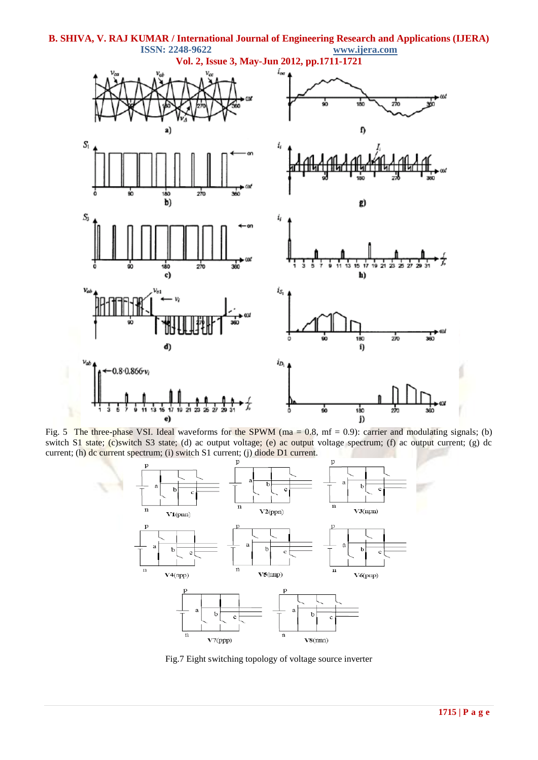

Fig. 5 The three-phase VSI. Ideal waveforms for the SPWM (ma =  $0.8$ , mf = 0.9): carrier and modulating signals; (b) switch S1 state; (c)switch S3 state; (d) ac output voltage; (e) ac output voltage spectrum; (f) ac output current; (g) dc current; (h) dc current spectrum; (i) switch S1 current; (j) diode D1 current.



Fig.7 Eight switching topology of voltage source inverter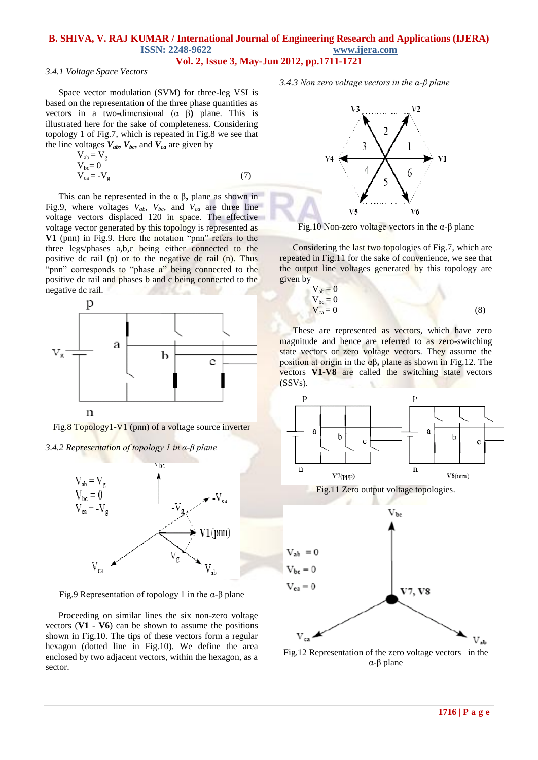### **Vol. 2, Issue 3, May-Jun 2012, pp.1711-1721**

#### *3.4.1 Voltage Space Vectors*

Space vector modulation (SVM) for three-leg VSI is based on the representation of the three phase quantities as vectors in a two-dimensional (α β**)** plane. This is illustrated here for the sake of completeness. Considering topology 1 of Fig.7, which is repeated in Fig.8 we see that the line voltages  $V_{ab}$ ,  $V_{bc}$ , and  $V_{ca}$  are given by

$$
V_{ab} = V_g
$$
  
\n
$$
V_{bc} = 0
$$
  
\n
$$
V_{ca} = -V_g
$$
\n(7)

This can be represented in the α β**,** plane as shown in Fig.9, where voltages *Vab*, *Vbc*, and *Vca* are three line voltage vectors displaced 120 in space. The effective voltage vector generated by this topology is represented as **V1** (pnn) in Fig.9. Here the notation "pnn" refers to the three legs/phases a,b,c being either connected to the positive dc rail (p) or to the negative dc rail (n). Thus "pnn" corresponds to "phase a" being connected to the positive dc rail and phases b and c being connected to the negative dc rail.



Fig.8 Topology1-V1 (pnn) of a voltage source inverter

*3.4.2 Representation of topology 1 in α-β plane*



Fig.9 Representation of topology 1 in the α-β plane

Proceeding on similar lines the six non-zero voltage vectors  $(V1 - V6)$  can be shown to assume the positions shown in Fig.10. The tips of these vectors form a regular hexagon (dotted line in Fig.10). We define the area enclosed by two adjacent vectors, within the hexagon, as a sector.

*3.4.3 Non zero voltage vectors in the α-β plane*



Fig.10 Non-zero voltage vectors in the α-β plane

Considering the last two topologies of Fig.7, which are repeated in Fig.11 for the sake of convenience, we see that the output line voltages generated by this topology are given by

$$
V_{ab} = 0
$$
  
\n
$$
V_{bc} = 0
$$
  
\n
$$
V_{ca} = 0
$$
\n(8)

These are represented as vectors, which have zero magnitude and hence are referred to as zero-switching state vectors or zero voltage vectors. They assume the position at origin in the αβ**,** plane as shown in Fig.12. The vectors **V1**-**V8** are called the switching state vectors (SSVs).



Fig.12 Representation of the zero voltage vectors in the α-β plane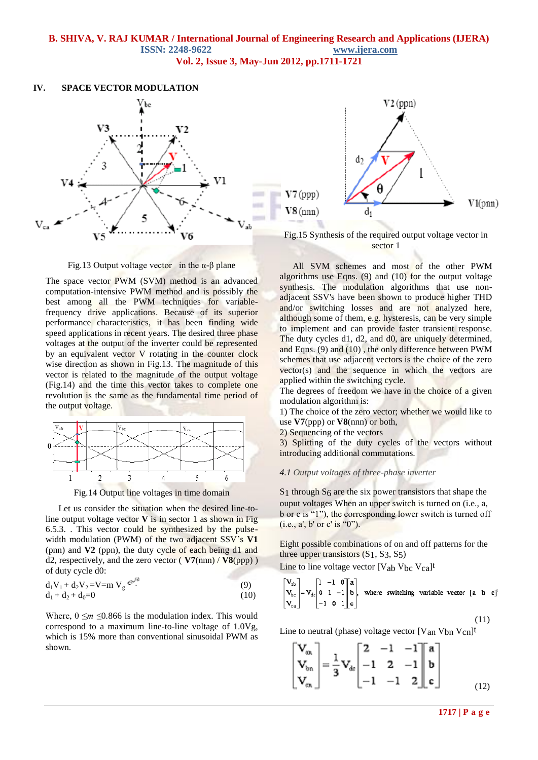### **B. SHIVA, V. RAJ KUMAR / International Journal of Engineering Research and Applications (IJERA) ISSN: 2248-9622 www.ijera.com Vol. 2, Issue 3, May-Jun 2012, pp.1711-1721**

#### **IV. SPACE VECTOR MODULATION**



Fig.13 Output voltage vector in the α-β plane

The space vector PWM (SVM) method is an advanced computation-intensive PWM method and is possibly the best among all the PWM techniques for variablefrequency drive applications. Because of its superior performance characteristics, it has been finding wide speed applications in recent years. The desired three phase voltages at the output of the inverter could be represented by an equivalent vector V rotating in the counter clock wise direction as shown in Fig.13. The magnitude of this vector is related to the magnitude of the output voltage (Fig.14) and the time this vector takes to complete one revolution is the same as the fundamental time period of the output voltage.



Fig.14 Output line voltages in time domain

Let us consider the situation when the desired line-toline output voltage vector **V** is in sector 1 as shown in Fig 6.5.3. . This vector could be synthesized by the pulsewidth modulation (PWM) of the two adjacent SSV's **V1**  (pnn) and **V2** (ppn), the duty cycle of each being d1 and d2, respectively, and the zero vector  $(\overline{V7(nnn)}/\overline{V8(npp)})$ of duty cycle d0:

$$
d_1V_1 + d_2V_2 = V = m V_g e^{j\epsilon} \tag{9}
$$
  
\n
$$
d_1 + d_2 + d_0 = 0 \tag{10}
$$

Where,  $0 \le m \le 0.866$  is the modulation index. This would correspond to a maximum line-to-line voltage of 1.0Vg, which is 15% more than conventional sinusoidal PWM as shown.



Fig.15 Synthesis of the required output voltage vector in sector 1

All SVM schemes and most of the other PWM algorithms use Eqns. (9) and (10) for the output voltage synthesis. The modulation algorithms that use nonadjacent SSV's have been shown to produce higher THD and/or switching losses and are not analyzed here, although some of them, e.g. hysteresis, can be very simple to implement and can provide faster transient response. The duty cycles d1, d2, and d0, are uniquely determined, and Eqns. (9) and (10) , the only difference between PWM schemes that use adjacent vectors is the choice of the zero vector(s) and the sequence in which the vectors are applied within the switching cycle.

The degrees of freedom we have in the choice of a given modulation algorithm is:

1) The choice of the zero vector; whether we would like to use **V7**(ppp) or **V8**(nnn) or both,

2) Sequencing of the vectors

3) Splitting of the duty cycles of the vectors without introducing additional commutations.

#### *4.1 Output voltages of three-phase inverter*

S1 through S6 are the six power transistors that shape the ouput voltages When an upper switch is turned on (i.e., a, b or c is "1"), the corresponding lower switch is turned off  $(i.e., a', b' or c' is "0").$ 

Eight possible combinations of on and off patterns for the three upper transistors  $(S_1, S_3, S_5)$ 

Line to line voltage vector  $[V_{ab} V_{bc} V_{ca}]^t$ 

$$
\begin{bmatrix} \mathbf{V}_{ab} \\ \mathbf{V}_{bc} \\ \mathbf{V}_{ca} \end{bmatrix} = \mathbf{V}_{dc} \begin{bmatrix} 1 & -1 & \mathbf{0} \\ \mathbf{0} & 1 & -1 \\ -1 & \mathbf{0} & 1 \end{bmatrix} \begin{bmatrix} \mathbf{a} \\ \mathbf{b} \\ \mathbf{c} \end{bmatrix}, \text{ where switching variable vector } [\mathbf{a} \ \mathbf{b} \ \mathbf{c}]^t
$$

$$
(11)
$$

Line to neutral (phase) voltage vector  $[V_{an} V_{bn} V_{cn}]^t$ 

$$
\begin{bmatrix} \mathbf{V}_{_{0n}} \\ \mathbf{V}_{_{bn}} \\ \mathbf{V}_{_{cn}} \end{bmatrix} = \frac{1}{3} \mathbf{V}_{_{dc}} \begin{bmatrix} 2 & -1 & -1 \\ -1 & 2 & -1 \\ -1 & -1 & 2 \end{bmatrix} \begin{bmatrix} \mathbf{a} \\ \mathbf{b} \\ \mathbf{c} \end{bmatrix}
$$
 (12)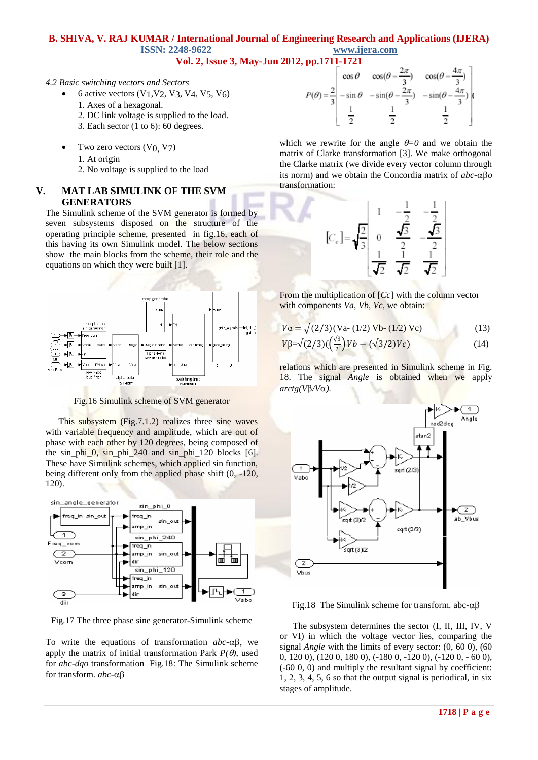### **Vol. 2, Issue 3, May-Jun 2012, pp.1711-1721**

#### *4.2 Basic switching vectors and Sectors*

- 6 active vectors  $(V_1, V_2, V_3, V_4, V_5, V_6)$
- 1. Axes of a hexagonal.
- 2. DC link voltage is supplied to the load.
- 3. Each sector (1 to 6): 60 degrees.
- Two zero vectors  $(V<sub>0</sub>, V<sub>7</sub>)$ 
	- 1. At origin
	- 2. No voltage is supplied to the load

### **V. MAT LAB SIMULINK OF THE SVM GENERATORS**

The Simulink scheme of the SVM generator is formed by seven subsystems disposed on the structure of the operating principle scheme, presented in fig.16, each of this having its own Simulink model. The below sections show the main blocks from the scheme, their role and the equations on which they were built [1].



Fig.16 Simulink scheme of SVM generator

This subsystem (Fig.7.1.2) realizes three sine waves with variable frequency and amplitude, which are out of phase with each other by 120 degrees, being composed of the sin phi  $0$ , sin phi 240 and sin phi 120 blocks  $[6]$ . These have Simulink schemes, which applied sin function, being different only from the applied phase shift (0, -120, 120).



Fig.17 The three phase sine generator-Simulink scheme

To write the equations of transformation  $abc - \alpha\beta$ , we apply the matrix of initial transformation Park  $P(\theta)$ , used for *abc-dqo* transformation Fig.18: The Simulink scheme for transform. *abc-*

$$
P(\theta) = \frac{2}{3} \begin{bmatrix} \cos \theta & \cos(\theta - \frac{2\pi}{3}) & \cos(\theta - \frac{4\pi}{3}) \\ -\sin \theta & -\sin(\theta - \frac{2\pi}{3}) & -\sin(\theta - \frac{4\pi}{3}) \\ \frac{1}{2} & \frac{1}{2} & \frac{1}{2} \end{bmatrix}
$$

which we rewrite for the angle  $\theta = 0$  and we obtain the matrix of Clarke transformation [3]. We make orthogonal the Clarke matrix (we divide every vector column through its norm) and we obtain the Concordia matrix of  $abc - \alpha \beta o$ transformation:



From the multiplication of [*Cc*] with the column vector with components *Va*, *Vb*, *Vc*, we obtain:

$$
V\alpha = \sqrt{(2/3)(Va - (1/2) Vb - (1/2) Vc)}
$$
(13)  

$$
V\beta = \sqrt{(2/3)(\left(\frac{\sqrt{3}}{2}\right)Vb - (\sqrt{3}/2)Vc)}
$$
(14)

relations which are presented in Simulink scheme in Fig. 18. The signal *Angle* is obtained when we apply  $arctg(V\beta/V\alpha)$ .



Fig.18 The Simulink scheme for transform. abc- $\alpha\beta$ 

The subsystem determines the sector (I, II, III, IV, V or VI) in which the voltage vector lies, comparing the signal *Angle* with the limits of every sector: (0, 60 0), (60 0, 120 0), (120 0, 180 0), (-180 0, -120 0), (-120 0, - 60 0), (-60 0, 0) and multiply the resultant signal by coefficient: 1, 2, 3, 4, 5, 6 so that the output signal is periodical, in six stages of amplitude.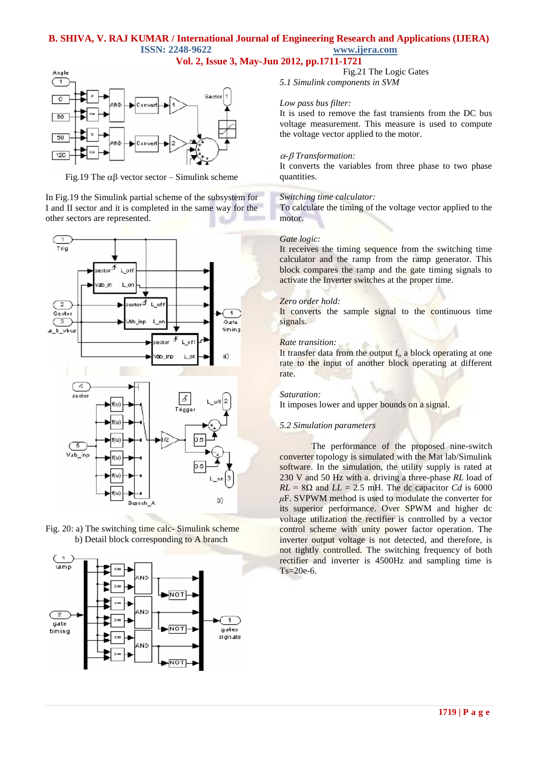### **Vol. 2, Issue 3, May-Jun 2012, pp.1711-1721**



Fig.19 The  $\alpha\beta$  vector sector – Simulink scheme

In Fig.19 the Simulink partial scheme of the subsystem for I and II sector and it is completed in the same way for the other sectors are represented.







Fig.21 The Logic Gates *5.1 Simulink components in SVM*

#### *Low pass bus filter:*

It is used to remove the fast transients from the DC bus voltage measurement. This measure is used to compute the voltage vector applied to the motor.

#### *- Transformation:*

It converts the variables from three phase to two phase quantities.

#### *Switching time calculator:*

To calculate the timing of the voltage vector applied to the motor.

#### *Gate logic:*

It receives the timing sequence from the switching time calculator and the ramp from the ramp generator. This block compares the ramp and the gate timing signals to activate the Inverter switches at the proper time.

#### *Zero order hold:*

It converts the sample signal to the continuous time signals.

#### *Rate transition:*

It transfer data from the output  $f_0$  a block operating at one rate to the input of another block operating at different rate.

#### *Saturation:*

It imposes lower and upper bounds on a signal.

#### *5.2 Simulation parameters*

 The performance of the proposed nine-switch converter topology is simulated with the Mat lab/Simulink software. In the simulation, the utility supply is rated at 230 V and 50 Hz with a. driving a three-phase *RL* load of  $RL = 8\Omega$  and  $LL = 2.5$  mH. The dc capacitor *Cd* is 6000 *μ*F. SVPWM method is used to modulate the converter for its superior performance. Over SPWM and higher dc voltage utilization the rectifier is controlled by a vector control scheme with unity power factor operation. The inverter output voltage is not detected, and therefore, is not tightly controlled. The switching frequency of both rectifier and inverter is 4500Hz and sampling time is Ts=20e-6.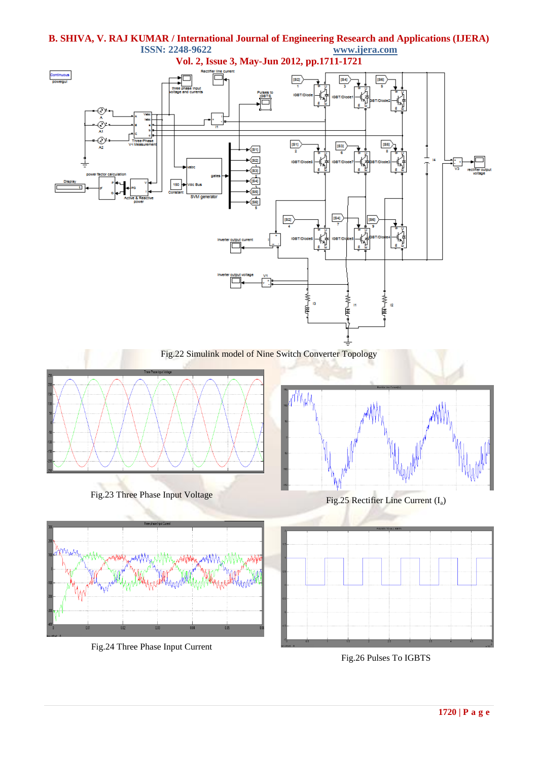

Fig.24 Three Phase Input Current

Fig.26 Pulses To IGBTS